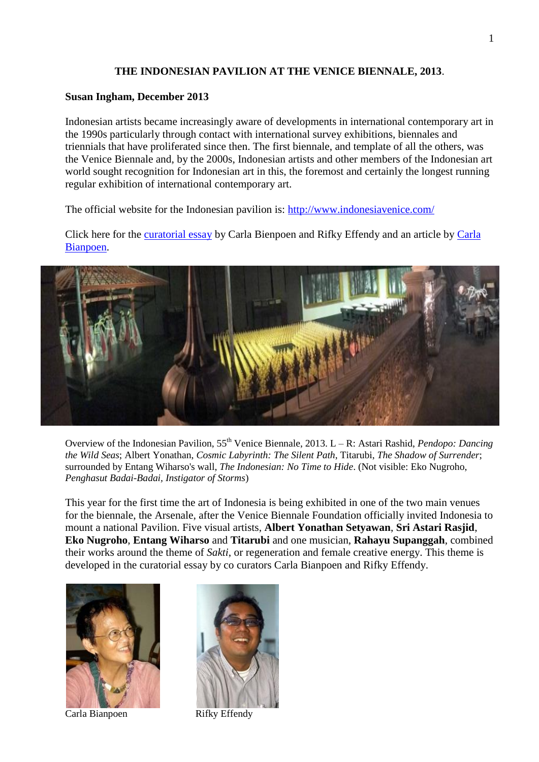## **THE INDONESIAN PAVILION AT THE VENICE BIENNALE, 2013**.

## **Susan Ingham, December 2013**

Indonesian artists became increasingly aware of developments in international contemporary art in the 1990s particularly through contact with international survey exhibitions, biennales and triennials that have proliferated since then. The first biennale, and template of all the others, was the Venice Biennale and, by the 2000s, Indonesian artists and other members of the Indonesian art world sought recognition for Indonesian art in this, the foremost and certainly the longest running regular exhibition of international contemporary art.

The official website for the Indonesian pavilion is:<http://www.indonesiavenice.com/>

Click here for the [curatorial essay](file:///C:/SuesFolder/WEBPAGE/THE%20WEBSITE%20-%20Copy/files/Venice_2013_curatorialessay.pdf) by Carla Bienpoen and Rifky Effendy and an article by [Carla](file:///C:/SuesFolder/WEBPAGE/THE%20WEBSITE%20-%20Copy/files/Carla_Venice_BlouinArtinfo_article.pdf)  [Bianpoen.](file:///C:/SuesFolder/WEBPAGE/THE%20WEBSITE%20-%20Copy/files/Carla_Venice_BlouinArtinfo_article.pdf)



Overview of the Indonesian Pavilion, 55<sup>th</sup> Venice Biennale, 2013. L – R: Astari Rashid, *Pendopo: Dancing the Wild Seas*; Albert Yonathan, *Cosmic Labyrinth: The Silent Path*, Titarubi, *The Shadow of Surrender*; surrounded by Entang Wiharso's wall, *The Indonesian: No Time to Hide*. (Not visible: Eko Nugroho, *Penghasut Badai-Badai, Instigator of Storms*)

This year for the first time the art of Indonesia is being exhibited in one of the two main venues for the biennale, the Arsenale, after the Venice Biennale Foundation officially invited Indonesia to mount a national Pavilion. Five visual artists, **Albert Yonathan Setyawan**, **Sri Astari Rasjid**, **Eko Nugroho**, **Entang Wiharso** and **Titarubi** and one musician, **Rahayu Supanggah**, combined their works around the theme of *Sakti*, or regeneration and female creative energy. This theme is developed in the curatorial essay by co curators Carla Bianpoen and Rifky Effendy.



Carla Bianpoen Rifky Effendy

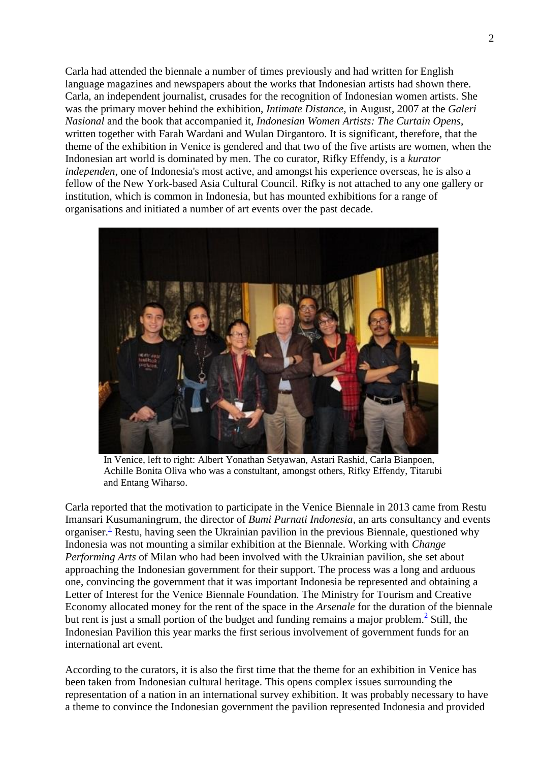Carla had attended the biennale a number of times previously and had written for English language magazines and newspapers about the works that Indonesian artists had shown there. Carla, an independent journalist, crusades for the recognition of Indonesian women artists. She was the primary mover behind the exhibition, *Intimate Distance*, in August, 2007 at the *Galeri Nasional* and the book that accompanied it, *Indonesian Women Artists: The Curtain Opens*, written together with Farah Wardani and Wulan Dirgantoro. It is significant, therefore, that the theme of the exhibition in Venice is gendered and that two of the five artists are women, when the Indonesian art world is dominated by men. The co curator, Rifky Effendy, is a *kurator independen*, one of Indonesia's most active, and amongst his experience overseas, he is also a fellow of the New York-based Asia Cultural Council. Rifky is not attached to any one gallery or institution, which is common in Indonesia, but has mounted exhibitions for a range of organisations and initiated a number of art events over the past decade.



In Venice, left to right: Albert Yonathan Setyawan, Astari Rashid, Carla Bianpoen, Achille Bonita Oliva who was a constultant, amongst others, Rifky Effendy, Titarubi and Entang Wiharso.

Carla reported that the motivation to participate in the Venice Biennale in 2013 came from Restu Imansari Kusumaningrum, the director of *Bumi Purnati Indonesia*, an arts consultancy and events organiser[.](file:///C:/SuesFolder/WEBPAGE/THE%20WEBSITE%20-%20Copy/pages/whats_new_140510.html%23footnote_b1)<sup>1</sup> Restu, having seen the Ukrainian pavilion in the previous Biennale, questioned why Indonesia was not mounting a similar exhibition at the Biennale. Working with *Change Performing Arts* of Milan who had been involved with the Ukrainian pavilion, she set about approaching the Indonesian government for their support. The process was a long and arduous one, convincing the government that it was important Indonesia be represented and obtaining a Letter of Interest for the Venice Biennale Foundation. The Ministry for Tourism and Creative Economy allocated money for the rent of the space in the *Arsenale* for the duration of the biennale but rent is just a small portion of the budget and funding remains a major problem[.](file:///C:/SuesFolder/WEBPAGE/THE%20WEBSITE%20-%20Copy/pages/whats_new_140510.html%23footnote_b2) $\frac{2}{3}$  Still, the Indonesian Pavilion this year marks the first serious involvement of government funds for an international art event.

According to the curators, it is also the first time that the theme for an exhibition in Venice has been taken from Indonesian cultural heritage. This opens complex issues surrounding the representation of a nation in an international survey exhibition. It was probably necessary to have a theme to convince the Indonesian government the pavilion represented Indonesia and provided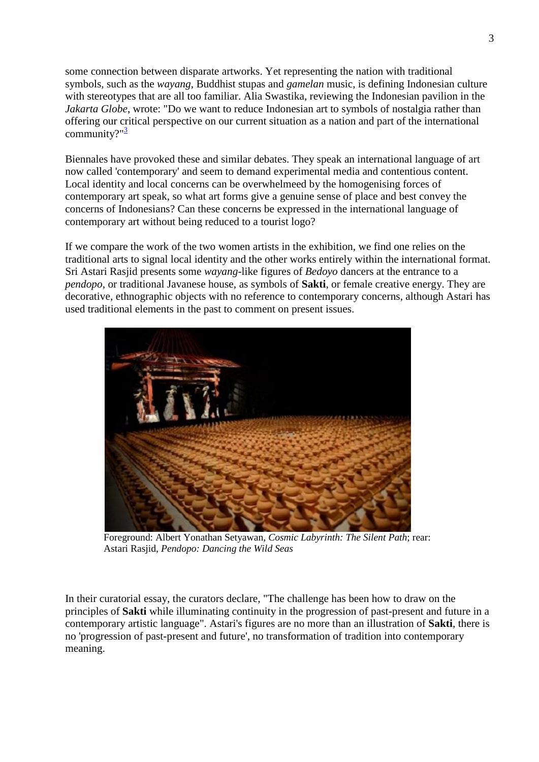some connection between disparate artworks. Yet representing the nation with traditional symbols, such as the *wayang*, Buddhist stupas and *gamelan* music, is defining Indonesian culture with stereotypes that are all too familiar. Alia Swastika, reviewing the Indonesian pavilion in the *Jakarta Globe*, wrote: "Do we want to reduce Indonesian art to symbols of nostalgia rather than offering our critical perspective on our current situation as a nation and part of the international community?" $\frac{3}{2}$  $\frac{3}{2}$  $\frac{3}{2}$ 

Biennales have provoked these and similar debates. They speak an international language of art now called 'contemporary' and seem to demand experimental media and contentious content. Local identity and local concerns can be overwhelmeed by the homogenising forces of contemporary art speak, so what art forms give a genuine sense of place and best convey the concerns of Indonesians? Can these concerns be expressed in the international language of contemporary art without being reduced to a tourist logo?

If we compare the work of the two women artists in the exhibition, we find one relies on the traditional arts to signal local identity and the other works entirely within the international format. Sri Astari Rasjid presents some *wayang*-like figures of *Bedoyo* dancers at the entrance to a *pendopo*, or traditional Javanese house, as symbols of **Sakti**, or female creative energy. They are decorative, ethnographic objects with no reference to contemporary concerns, although Astari has used traditional elements in the past to comment on present issues.

![](_page_2_Picture_3.jpeg)

Foreground: Albert Yonathan Setyawan, *Cosmic Labyrinth: The Silent Path*; rear: Astari Rasjid, *Pendopo: Dancing the Wild Seas*

In their curatorial essay, the curators declare, "The challenge has been how to draw on the principles of **Sakti** while illuminating continuity in the progression of past-present and future in a contemporary artistic language". Astari's figures are no more than an illustration of **Sakti**, there is no 'progression of past-present and future', no transformation of tradition into contemporary meaning.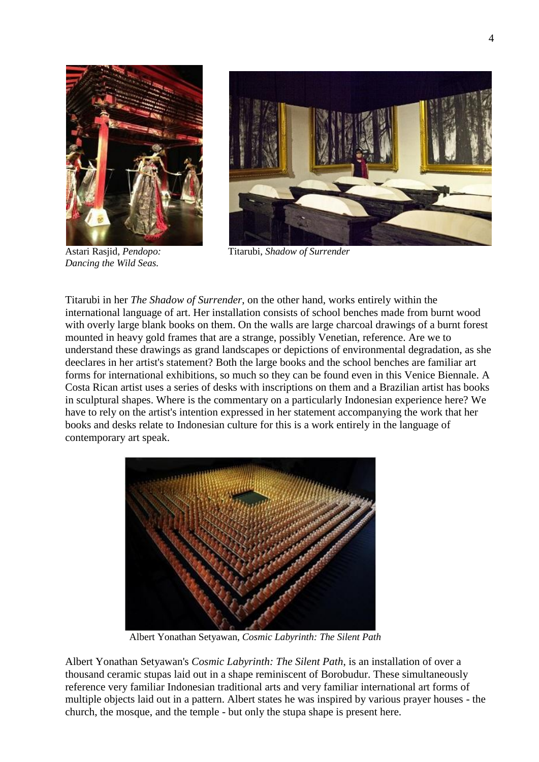![](_page_3_Picture_0.jpeg)

![](_page_3_Picture_1.jpeg)

*Dancing the Wild Seas.*

![](_page_3_Picture_3.jpeg)

Astari Rasjid, *Pendopo:* Titarubi, *Shadow of Surrender*

Titarubi in her *The Shadow of Surrender*, on the other hand, works entirely within the international language of art. Her installation consists of school benches made from burnt wood with overly large blank books on them. On the walls are large charcoal drawings of a burnt forest mounted in heavy gold frames that are a strange, possibly Venetian, reference. Are we to understand these drawings as grand landscapes or depictions of environmental degradation, as she deeclares in her artist's statement? Both the large books and the school benches are familiar art forms for international exhibitions, so much so they can be found even in this Venice Biennale. A Costa Rican artist uses a series of desks with inscriptions on them and a Brazilian artist has books in sculptural shapes. Where is the commentary on a particularly Indonesian experience here? We have to rely on the artist's intention expressed in her statement accompanying the work that her books and desks relate to Indonesian culture for this is a work entirely in the language of contemporary art speak.

![](_page_3_Picture_6.jpeg)

Albert Yonathan Setyawan, *Cosmic Labyrinth: The Silent Path*

Albert Yonathan Setyawan's *Cosmic Labyrinth: The Silent Path*, is an installation of over a thousand ceramic stupas laid out in a shape reminiscent of Borobudur. These simultaneously reference very familiar Indonesian traditional arts and very familiar international art forms of multiple objects laid out in a pattern. Albert states he was inspired by various prayer houses - the church, the mosque, and the temple - but only the stupa shape is present here.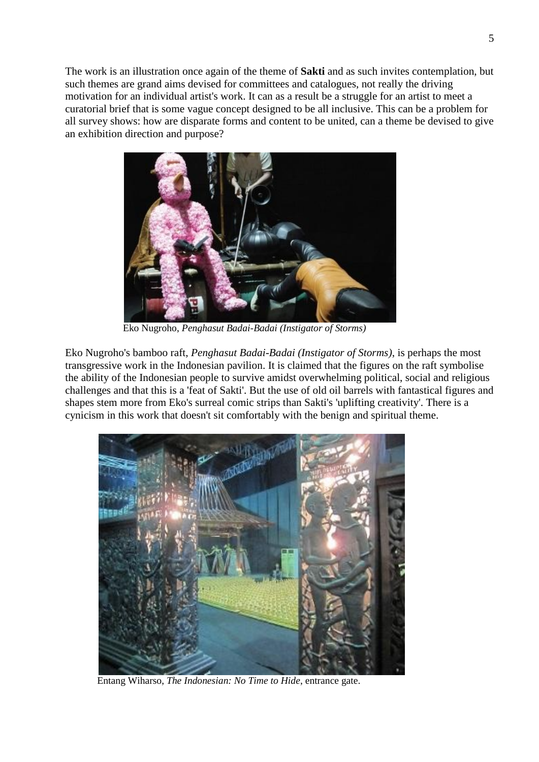The work is an illustration once again of the theme of **Sakti** and as such invites contemplation, but such themes are grand aims devised for committees and catalogues, not really the driving motivation for an individual artist's work. It can as a result be a struggle for an artist to meet a curatorial brief that is some vague concept designed to be all inclusive. This can be a problem for all survey shows: how are disparate forms and content to be united, can a theme be devised to give an exhibition direction and purpose?

![](_page_4_Picture_1.jpeg)

Eko Nugroho, *Penghasut Badai-Badai (Instigator of Storms)*

Eko Nugroho's bamboo raft, *Penghasut Badai-Badai (Instigator of Storms)*, is perhaps the most transgressive work in the Indonesian pavilion. It is claimed that the figures on the raft symbolise the ability of the Indonesian people to survive amidst overwhelming political, social and religious challenges and that this is a 'feat of Sakti'. But the use of old oil barrels with fantastical figures and shapes stem more from Eko's surreal comic strips than Sakti's 'uplifting creativity'. There is a cynicism in this work that doesn't sit comfortably with the benign and spiritual theme.

![](_page_4_Picture_4.jpeg)

Entang Wiharso, *The Indonesian: No Time to Hide*, entrance gate.